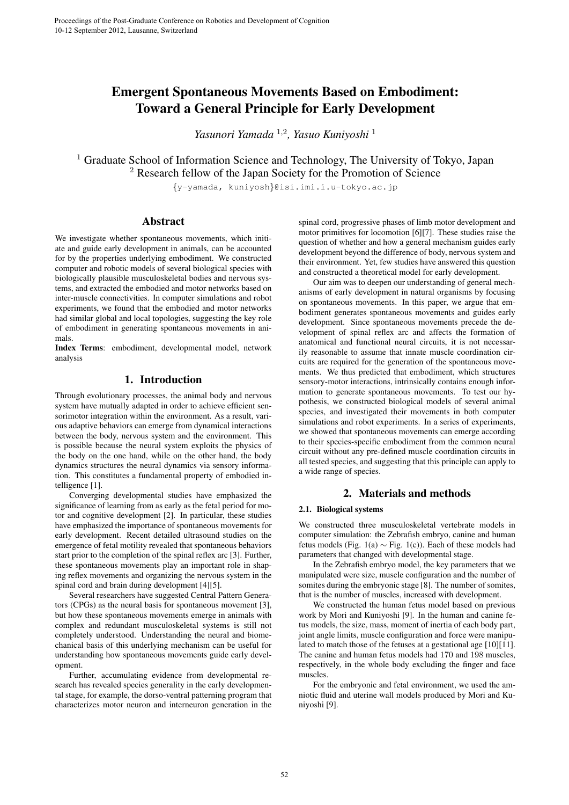# Emergent Spontaneous Movements Based on Embodiment: Toward a General Principle for Early Development

*Yasunori Yamada* <sup>1</sup>*,*<sup>2</sup> *, Yasuo Kuniyoshi* <sup>1</sup>

<sup>1</sup> Graduate School of Information Science and Technology, The University of Tokyo, Japan <sup>2</sup> Research fellow of the Japan Society for the Promotion of Science

*{*y-yamada, kuniyosh*}*@isi.imi.i.u-tokyo.ac.jp

# Abstract

We investigate whether spontaneous movements, which initiate and guide early development in animals, can be accounted for by the properties underlying embodiment. We constructed computer and robotic models of several biological species with biologically plausible musculoskeletal bodies and nervous systems, and extracted the embodied and motor networks based on inter-muscle connectivities. In computer simulations and robot experiments, we found that the embodied and motor networks had similar global and local topologies, suggesting the key role of embodiment in generating spontaneous movements in animals.

Index Terms: embodiment, developmental model, network analysis

# 1. Introduction

Through evolutionary processes, the animal body and nervous system have mutually adapted in order to achieve efficient sensorimotor integration within the environment. As a result, various adaptive behaviors can emerge from dynamical interactions between the body, nervous system and the environment. This is possible because the neural system exploits the physics of the body on the one hand, while on the other hand, the body dynamics structures the neural dynamics via sensory information. This constitutes a fundamental property of embodied intelligence [1].

Converging developmental studies have emphasized the significance of learning from as early as the fetal period for motor and cognitive development [2]. In particular, these studies have emphasized the importance of spontaneous movements for early development. Recent detailed ultrasound studies on the emergence of fetal motility revealed that spontaneous behaviors start prior to the completion of the spinal reflex arc [3]. Further, these spontaneous movements play an important role in shaping reflex movements and organizing the nervous system in the spinal cord and brain during development [4][5].

Several researchers have suggested Central Pattern Generators (CPGs) as the neural basis for spontaneous movement [3], but how these spontaneous movements emerge in animals with complex and redundant musculoskeletal systems is still not completely understood. Understanding the neural and biomechanical basis of this underlying mechanism can be useful for understanding how spontaneous movements guide early development.

Further, accumulating evidence from developmental research has revealed species generality in the early developmental stage, for example, the dorso-ventral patterning program that characterizes motor neuron and interneuron generation in the

spinal cord, progressive phases of limb motor development and motor primitives for locomotion [6][7]. These studies raise the question of whether and how a general mechanism guides early development beyond the difference of body, nervous system and their environment. Yet, few studies have answered this question and constructed a theoretical model for early development.

Our aim was to deepen our understanding of general mechanisms of early development in natural organisms by focusing on spontaneous movements. In this paper, we argue that embodiment generates spontaneous movements and guides early development. Since spontaneous movements precede the development of spinal reflex arc and affects the formation of anatomical and functional neural circuits, it is not necessarily reasonable to assume that innate muscle coordination circuits are required for the generation of the spontaneous movements. We thus predicted that embodiment, which structures sensory-motor interactions, intrinsically contains enough information to generate spontaneous movements. To test our hypothesis, we constructed biological models of several animal species, and investigated their movements in both computer simulations and robot experiments. In a series of experiments, we showed that spontaneous movements can emerge according to their species-specific embodiment from the common neural circuit without any pre-defined muscle coordination circuits in all tested species, and suggesting that this principle can apply to a wide range of species.

# 2. Materials and methods

### 2.1. Biological systems

We constructed three musculoskeletal vertebrate models in computer simulation: the Zebrafish embryo, canine and human fetus models (Fig. 1(a) *∼* Fig. 1(c)). Each of these models had parameters that changed with developmental stage.

In the Zebrafish embryo model, the key parameters that we manipulated were size, muscle configuration and the number of somites during the embryonic stage [8]. The number of somites, that is the number of muscles, increased with development.

We constructed the human fetus model based on previous work by Mori and Kuniyoshi [9]. In the human and canine fetus models, the size, mass, moment of inertia of each body part, joint angle limits, muscle configuration and force were manipulated to match those of the fetuses at a gestational age [10][11]. The canine and human fetus models had 170 and 198 muscles, respectively, in the whole body excluding the finger and face muscles.

For the embryonic and fetal environment, we used the amniotic fluid and uterine wall models produced by Mori and Kuniyoshi [9].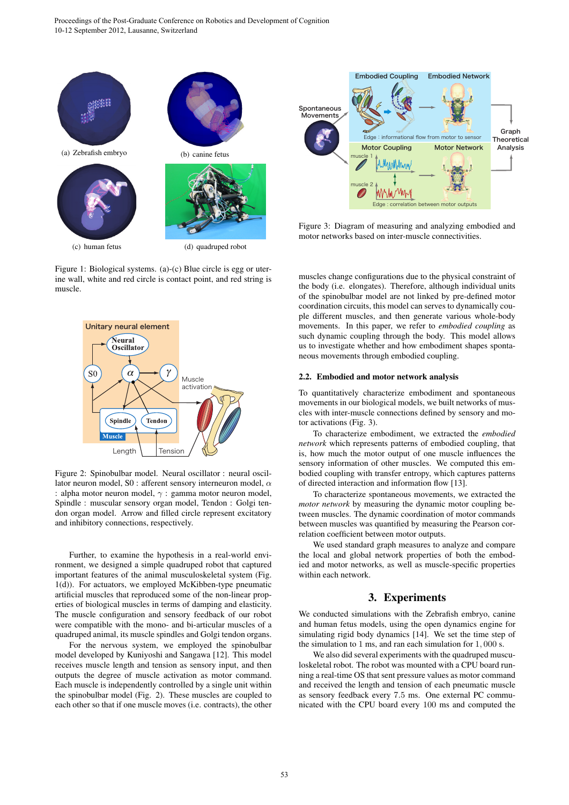

(c) human fetus (d) quadruped robot

Figure 1: Biological systems. (a)-(c) Blue circle is egg or uterine wall, white and red circle is contact point, and red string is muscle.



Figure 2: Spinobulbar model. Neural oscillator : neural oscillator neuron model, S0 : afferent sensory interneuron model, *α* : alpha motor neuron model, *γ* : gamma motor neuron model, Spindle : muscular sensory organ model, Tendon : Golgi tendon organ model. Arrow and filled circle represent excitatory and inhibitory connections, respectively.

Further, to examine the hypothesis in a real-world environment, we designed a simple quadruped robot that captured important features of the animal musculoskeletal system (Fig. 1(d)). For actuators, we employed McKibben-type pneumatic artificial muscles that reproduced some of the non-linear properties of biological muscles in terms of damping and elasticity. The muscle configuration and sensory feedback of our robot were compatible with the mono- and bi-articular muscles of a quadruped animal, its muscle spindles and Golgi tendon organs.

For the nervous system, we employed the spinobulbar model developed by Kuniyoshi and Sangawa [12]. This model receives muscle length and tension as sensory input, and then outputs the degree of muscle activation as motor command. Each muscle is independently controlled by a single unit within the spinobulbar model (Fig. 2). These muscles are coupled to each other so that if one muscle moves (i.e. contracts), the other



Figure 3: Diagram of measuring and analyzing embodied and motor networks based on inter-muscle connectivities.

muscles change configurations due to the physical constraint of the body (i.e. elongates). Therefore, although individual units of the spinobulbar model are not linked by pre-defined motor coordination circuits, this model can serves to dynamically couple different muscles, and then generate various whole-body movements. In this paper, we refer to *embodied coupling* as such dynamic coupling through the body. This model allows us to investigate whether and how embodiment shapes spontaneous movements through embodied coupling.

#### 2.2. Embodied and motor network analysis

To quantitatively characterize embodiment and spontaneous movements in our biological models, we built networks of muscles with inter-muscle connections defined by sensory and motor activations (Fig. 3).

To characterize embodiment, we extracted the *embodied network* which represents patterns of embodied coupling, that is, how much the motor output of one muscle influences the sensory information of other muscles. We computed this embodied coupling with transfer entropy, which captures patterns of directed interaction and information flow [13].

To characterize spontaneous movements, we extracted the *motor network* by measuring the dynamic motor coupling between muscles. The dynamic coordination of motor commands between muscles was quantified by measuring the Pearson correlation coefficient between motor outputs.

We used standard graph measures to analyze and compare the local and global network properties of both the embodied and motor networks, as well as muscle-specific properties within each network.

# 3. Experiments

We conducted simulations with the Zebrafish embryo, canine and human fetus models, using the open dynamics engine for simulating rigid body dynamics [14]. We set the time step of the simulation to 1 ms, and ran each simulation for 1*,* 000 s.

We also did several experiments with the quadruped musculoskeletal robot. The robot was mounted with a CPU board running a real-time OS that sent pressure values as motor command and received the length and tension of each pneumatic muscle as sensory feedback every 7*.*5 ms. One external PC communicated with the CPU board every 100 ms and computed the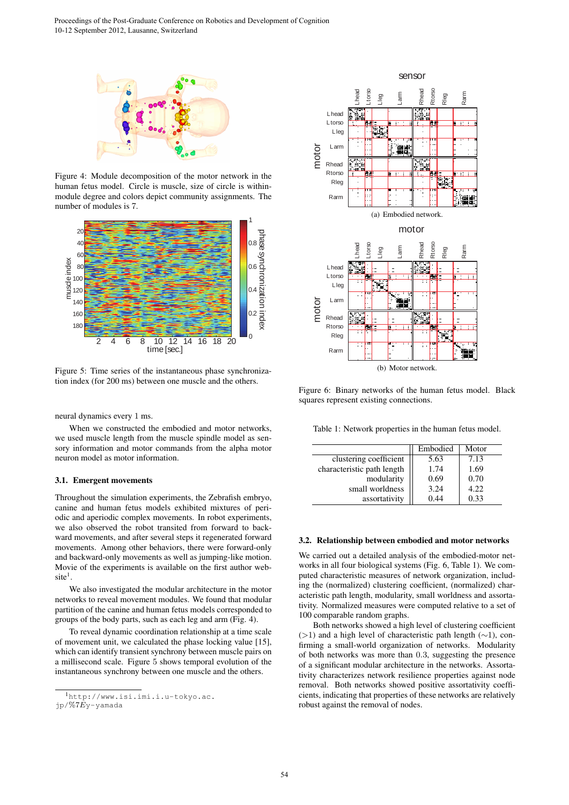

Figure 4: Module decomposition of the motor network in the human fetus model. Circle is muscle, size of circle is withinmodule degree and colors depict community assignments. The number of modules is 7.



Figure 5: Time series of the instantaneous phase synchronization index (for 200 ms) between one muscle and the others.

neural dynamics every 1 ms.

When we constructed the embodied and motor networks, we used muscle length from the muscle spindle model as sensory information and motor commands from the alpha motor neuron model as motor information.

### 3.1. Emergent movements

Throughout the simulation experiments, the Zebrafish embryo, canine and human fetus models exhibited mixtures of periodic and aperiodic complex movements. In robot experiments, we also observed the robot transited from forward to backward movements, and after several steps it regenerated forward movements. Among other behaviors, there were forward-only and backward-only movements as well as jumping-like motion. Movie of the experiments is available on the first author web $site<sup>1</sup>$ .

We also investigated the modular architecture in the motor networks to reveal movement modules. We found that modular partition of the canine and human fetus models corresponded to groups of the body parts, such as each leg and arm (Fig. 4).

To reveal dynamic coordination relationship at a time scale of movement unit, we calculated the phase locking value [15], which can identify transient synchrony between muscle pairs on a millisecond scale. Figure 5 shows temporal evolution of the instantaneous synchrony between one muscle and the others.



Figure 6: Binary networks of the human fetus model. Black squares represent existing connections.

Table 1: Network properties in the human fetus model.

|                            | Embodied | Motor |
|----------------------------|----------|-------|
| clustering coefficient     | 5.63     | 7.13  |
| characteristic path length | 1.74     | 1.69  |
| modularity                 | 0.69     | 0.70  |
| small worldness            | 3.24     | 4.22  |
| assortativity              | 0.44     | 0.33  |

#### 3.2. Relationship between embodied and motor networks

We carried out a detailed analysis of the embodied-motor networks in all four biological systems (Fig. 6, Table 1). We computed characteristic measures of network organization, including the (normalized) clustering coefficient, (normalized) characteristic path length, modularity, small worldness and assortativity. Normalized measures were computed relative to a set of 100 comparable random graphs.

Both networks showed a high level of clustering coefficient (*>*1) and a high level of characteristic path length (*∼*1), confirming a small-world organization of networks. Modularity of both networks was more than 0*.*3, suggesting the presence of a significant modular architecture in the networks. Assortativity characterizes network resilience properties against node removal. Both networks showed positive assortativity coefficients, indicating that properties of these networks are relatively robust against the removal of nodes.

<sup>1</sup>http://www.isi.imi.i.u-tokyo.ac.

jp/%7*E*y-yamada